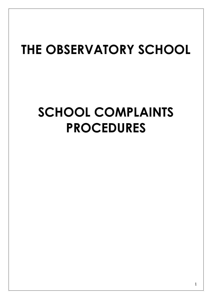# **THE OBSERVATORY SCHOOL**

# **SCHOOL COMPLAINTS PROCEDURES**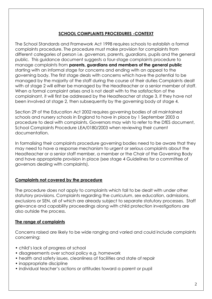#### **SCHOOL COMPLAINTS PROCEDURES -CONTEXT**

The School Standards and Framework Act 1998 requires schools to establish a formal complaints procedure. The procedure must make provision for complaints from different categories of person i.e. governors, parents, guardians, pupils and the general public. This guidance document suggests a four-stage complaints procedure to manage complaints from **parents, guardians and members of the general public**  starting with an informal stage for concerns and ending with an appeal to the governing body. The first stage deals with concerns which have the potential to be managed by the majority of the staff during the course of their duties Complaints dealt with at stage 2 will either be managed by the Headteacher or a senior member of staff. When a formal complaint arises and is not dealt with to the satisfaction of the complainant, it will first be addressed by the Headteacher at stage 3, if they have not been involved at stage 2, then subsequently by the governing body at stage 4.

Section 29 of the Education Act 2002 requires governing bodies of all maintained schools and nursery schools in England to have in place by 1 September 2003 a procedure to deal with complaints. Governors may wish to refer to the DfES document, School Complaints Procedure LEA/0180/2003 when reviewing their current documentation.

In formalising their complaints procedure governing bodies need to be aware that they may need to have a response mechanism to urgent or serious complaints about the Headteacher or a senior staff member, a member or the Chair of the Governing Body and have appropriate provision in place (see stage 4 Guidelines for a committee of governors dealing with complaints).

#### **Complaints not covered by the procedure**

The procedure does not apply to complaints which fall to be dealt with under other statutory provisions. Complaints regarding the curriculum, sex education, admissions, exclusions or SEN, all of which are already subject to separate statutory processes. Staff grievance and capability proceedings along with child protection investigations are also outside the process.

#### **The range of complaints**

Concerns raised are likely to be wide ranging and varied and could include complaints concerning:

- child's lack of progress at school
- disagreements over school policy e.g. homework
- health and safety issues, cleanliness of facilities and state of repair
- inappropriate discipline
- individual teacher's actions or attitudes toward a parent or pupil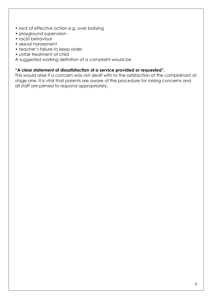- lack of effective action e.g. over bullying
- playground supervision
- racist behaviour
- sexual harassment
- teacher's failure to keep order
- unfair treatment of child

A suggested working definition of a complaint would be

#### **"A clear statement of dissatisfaction of a service provided or requested".**

This would arise if a concern was not dealt with to the satisfaction of the complainant at stage one. It is vital that parents are aware of the procedure for raising concerns and all staff are primed to respond appropriately.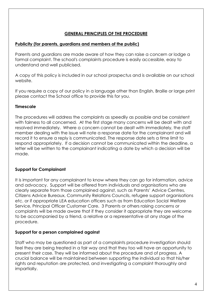#### **GENERAL PRINCIPLES OF THE PROCEDURE**

#### **Publicity (for parents, guardians and members of the public)**

Parents and guardians are made aware of how they can raise a concern or lodge a formal complaint. The school's complaints procedure is easily accessible, easy to understand and well publicised.

A copy of this policy is included in our school prospectus and is available on our school website.

If you require a copy of our policy in a language other than English, Braille or large print please contact the School office to provide this for you.

#### **Timescale**

The procedures will address the complaints as speedily as possible and be consistent with fairness to all concerned. At the first stage many concerns will be dealt with and resolved immediately. Where a concern cannot be dealt with immediately, the staff member dealing with the issue will note a response date for the complainant and will record it to ensure a reply is communicated. The response date sets a time limit to respond appropriately. If a decision cannot be communicated within the deadline, a letter will be written to the complainant indicating a date by which a decision will be made.

#### **Support for Complainant**

It is important for any complainant to know where they can go for information, advice and advocacy. Support will be offered from individuals and organisations who are clearly separate from those complained against, such as Parents' Advice Centres, Citizens Advice Bureaux, Community Relations Councils, refugee support organisations etc. or if appropriate LEA education officers such as from Education Social Welfare Service, Principal Officer Customer Care. 3 Parents or others raising concerns or complaints will be made aware that if they consider it appropriate they are welcome to be accompanied by a friend, a relative or a representative at any stage of the procedure.

#### **Support for a person complained against**

Staff who may be questioned as part of a complaints procedure investigation should feel they are being treated in a fair way and that they too will have an opportunity to present their case. They will be informed about the procedure and of progress. A crucial balance will be maintained between supporting the individual so that his/her rights and reputation are protected, and investigating a complaint thoroughly and impartially.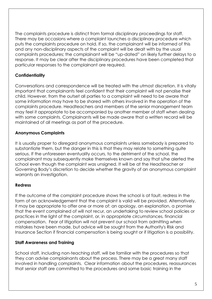The complaints procedure is distinct from formal disciplinary proceedings for staff. There may be occasions where a complaint launches a disciplinary procedure which puts the complaints procedure on hold. If so, the complainant will be informed of this and any non-disciplinary aspects of the complaint will be dealt with by the usual complaints procedures; the complainant will be "up-dated" on likely further delays to a response. It may be clear after the disciplinary procedures have been completed that particular responses to the complainant are required.

#### **Confidentiality**

Conversations and correspondence will be treated with the utmost discretion. It is vitally important that complainants feel confident that their complaint will not penalise their child. However, from the outset all parties to a complaint will need to be aware that some information may have to be shared with others involved in the operation of the complaints procedure. Headteachers and members of the senior management team may feel it appropriate to be accompanied by another member of staff when dealing with some complaints. Complainants will be made aware that a written record will be maintained of all meetings as part of the procedure.

#### **Anonymous Complaints**

It is usually proper to disregard anonymous complaints unless somebody is prepared to substantiate them, but the danger in this is that they may relate to something quite serious. If the unforeseen eventuality occurs, to the detriment of the school, the complainant may subsequently make themselves known and say that s/he alerted the school even though the complaint was unsigned. It will be at the Headteacher or Governing Body's discretion to decide whether the gravity of an anonymous complaint warrants an investigation.

#### **Redress**

If the outcome of the complaint procedure shows the school is at fault, redress in the form of an acknowledgement that the complaint is valid will be provided. Alternatively, it may be appropriate to offer one or more of: an apology, an explanation, a promise that the event complained of will not recur, an undertaking to review school policies or practices in the light of the complaint, or, in appropriate circumstances, financial compensation. Fear of litigation will not prevent our school from admitting when mistakes have been made, but advice will be sought from the Authority's Risk and Insurance Section if financial compensation is being sought or if litigation is a possibility.

#### **Staff Awareness and Training**

School staff, including non-teaching staff, will be familiar with the procedures so that they can advise complainants about the process. There may be a great many staff involved in handling complaints. Clear information about the procedures, reassurances that senior staff are committed to the procedures and some basic training in the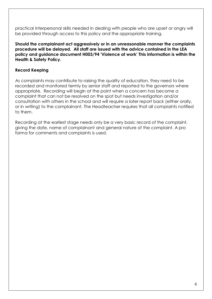practical interpersonal skills needed in dealing with people who are upset or angry will be provided through access to this policy and the appropriate training.

**Should the complainant act aggressively or in an unreasonable manner the complaints procedure will be delayed. All staff are issued with the advice contained in the LEA policy and guidance document H003/94 'Violence at work' This information is within the Health & Safety Policy.**

#### **Record Keeping**

As complaints may contribute to raising the quality of education, they need to be recorded and monitored termly by senior staff and reported to the governors where appropriate. Recording will begin at the point when a concern has become a complaint that can not be resolved on the spot but needs investigation and/or consultation with others in the school and will require a later report back (either orally, or in writing) to the complainant. The Headteacher requires that all complaints notified to them.

Recording at the earliest stage needs only be a very basic record of the complaint, giving the date, name of complainant and general nature of the complaint. A pro forma for comments and complaints is used.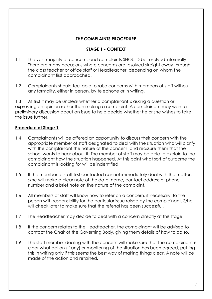#### **THE COMPLAINTS PROCEDURE**

#### **STAGE 1 - CONTEXT**

- 1.1 The vast majority of concerns and complaints SHOULD be resolved informally. There are many occasions where concerns are resolved straight away through the class teacher or office staff or Headteacher, depending on whom the complainant first approached.
- 1.2 Complainants should feel able to raise concerns with members of staff without any formality, either in person, by telephone or in writing.

1.3 At first it may be unclear whether a complainant is asking a question or expressing an opinion rather than making a complaint. A complainant may want a preliminary discussion about an issue to help decide whether he or she wishes to take the issue further.

#### **Procedure at Stage 1**

- 1.4 Complainants will be offered an opportunity to discuss their concern with the appropriate member of staff designated to deal with the situation who will clarify with the complainant the nature of the concern, and reassure them that the school wants to hear about it. The member of staff may be able to explain to the complainant how the situation happened. At this point what sort of outcome the complainant is looking for will be indentified.
- 1.5 If the member of staff first contacted cannot immediately deal with the matter, s/he will make a clear note of the date, name, contact address or phone number and a brief note on the nature of the complaint.
- 1.6 All members of staff will know how to refer on a concern, if necessary, to the person with responsibility for the particular issue raised by the complainant. S/he will check later to make sure that the referral has been successful.
- 1.7 The Headteacher may decide to deal with a concern directly at this stage.
- 1.8 If the concern relates to the Headteacher, the complainant will be advised to contact the Chair of the Governing Body, giving them details of how to do so.
- 1.9 The staff member dealing with the concern will make sure that the complainant is clear what action (if any) or monitoring of the situation has been agreed, putting this in writing only if this seems the best way of making things clear. A note will be made of the action and retained.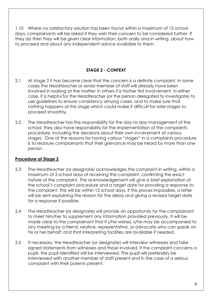1.10 Where no satisfactory solution has been found within a maximum of 15 school days, complainants will be asked if they wish their concern to be considered further. If they do then they will be given clear information, both orally and in writing, about how to proceed and about any independent advice available to them.

#### **STAGE 2 - CONTEXT**

- 2.1 At stage 2 it has become clear that the concern is a definite complaint. In some cases the Headteacher or senior member of staff will already have been involved in looking at the matter; in others it is his/her first involvement. In either case, it is helpful for the Headteacher (or the person delegated to investigate) to use guidelines to ensure consistency among cases, and to make sure that nothing happens at this stage which could make it difficult for later stages to proceed smoothly.
- 2.2 The Headteacher has the responsibility for the day-to-day management of the school, they also have responsibility for the implementation of the complaints procedure, including the decisions about their own involvement at various stages. One of the reasons for having various "stages" in a complaints procedure is to reassure complainants that their grievance may be heard by more than one person.

#### **Procedure at Stage 2**

- 2.3 The Headteacher (or designate) acknowledges the complaint in writing, within a maximum of 3 school days of receiving the complaint, confirming the exact nature of the complaint. The acknowledgement will give a brief explanation of the school's complaint procedure and a target date for providing a response to the complaint. This will be within 15 school days, if this proves impossible, a letter will be sent explaining the reason for the delay and giving a revised target date for a response if possible.
- 2.4 The Headteacher (or designate) will provide an opportunity for the complainant to meet him/her to supplement any information provided previously. It will be made clear to the complainant that if s/he wishes, s/he may be accompanied to any meeting by a friend, relative, representative, or advocate who can speak on his or her behalf; and that interpreting facilities are available if needed.
- 2.5 If necessary, the Headteacher (or designate) will interview witnesses and take signed statements from witnesses and those involved. If the complaint concerns a pupil, the pupil identified will be interviewed. The pupil will preferably be interviewed with another member of staff present and in the case of a serious complaint with their parents present.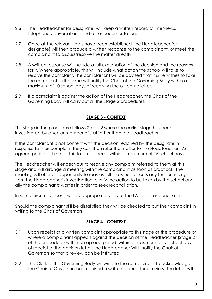- 2.6 The Headteacher (or designate) will keep a written record of interviews, telephone conversations, and other documentation.
- 2.7 Once all the relevant facts have been established, the Headteacher (or designate) will then produce a written response to the complainant, or meet the complainant to discuss/resolve the matter directly.
- 2.8 A written response will include a full explanation of the decision and the reasons for it. Where appropriate, this will include what action the school will take to resolve the complaint. The complainant will be advised that if s/he wishes to take the complaint further s/he will notify the Chair of the Governing Body within a maximum of 10 school days of receiving the outcome letter.
- 2.9 If a complaint is against the action of the Headteacher, the Chair of the Governing Body will carry out all the Stage 2 procedures.

#### **STAGE 3 - CONTEXT**

This stage in the procedure follows Stage 2 where the earlier stage has been investigated by a senior member of staff other than the Headteacher.

If the complainant is not content with the decision reached by the designate in response to their complaint they can then refer the matter to the Headteacher. An agreed period of time for this to take place is within a maximum of 15 school days.

The Headteacher will endeavour to resolve any complaint referred to them at this stage and will arrange a meeting with the complainant as soon as practical. The meeting will offer an opportunity to reassess all the issues, discuss any further findings from the Headteacher's investigation, clarify the action to be taken by the school and ally the complainants worries in order to seek reconciliation.

In some circumstances it will be appropriate to invite the LA to act as conciliator.

Should the complainant still be dissatisfied they will be directed to put their complaint in writing to the Chair of Governors.

#### **STAGE 4 - CONTEXT**

- 3.1 Upon receipt of a written complaint appropriate to this stage of the procedure or where a complainant appeals against the decision of the Headteacher (Stage 2 of the procedure) within an agreed period, within a maximum of 15 school days of receipt of the decision letter, the Headteacher WILL notify the Chair of Governors so that a review can be instituted.
- 3.2 The Clerk to the Governing Body will write to the complainant to acknowledge the Chair of Governors has received a written request for a review. The letter will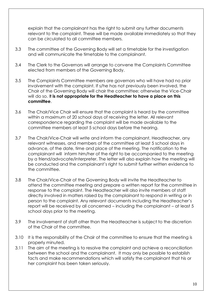explain that the complainant has the right to submit any further documents relevant to the complaint. These will be made available immediately so that they can be circulated to all committee members.

- 3.3 The committee of the Governing Body will set a timetable for the investigation and will communicate the timetable to the complainant.
- 3.4 The Clerk to the Governors will arrange to convene the Complaints Committee elected from members of the Governing Body.
- 3.5 The Complaints Committee members are governors who will have had no prior involvement with the complaint. If s/he has not previously been involved, the Chair of the Governing Body will chair the committee; otherwise the Vice-Chair will do so. I**t is not appropriate for the Headteacher to have a place on this committee**.
- 3.6 The Chair/Vice Chair will ensure that the complaint is heard by the committee within a maximum of 20 school days of receiving the letter. All relevant correspondence regarding the complaint will be made available to the committee members at least 5 school days before the hearing.
- 3.7 The Chair/Vice-Chair will write and inform the complainant, Headteacher, any relevant witnesses, and members of the committee at least 5 school days in advance, of the date, time and place of the meeting. The notification to the complainant will inform him/her of the right to be accompanied to the meeting by a friend/advocate/interpreter. The letter will also explain how the meeting will be conducted and the complainant's right to submit further written evidence to the committee.
- 3.8 The Chair/Vice-Chair of the Governing Body will invite the Headteacher to attend the committee meeting and prepare a written report for the committee in response to the complaint. The Headteacher will also invite members of staff directly involved in matters raised by the complainant to respond in writing or in person to the complaint. Any relevant documents including the Headteacher's report will be received by all concerned – including the complainant – at least 5 school days prior to the meeting.
- 3.9 The involvement of staff other than the Headteacher is subject to the discretion of the Chair of the committee.
- 3.10 It is the responsibility of the Chair of the committee to ensure that the meeting is properly minuted.
- 3.11 The aim of the meeting is to resolve the complaint and achieve a reconciliation between the school and the complainant. It may only be possible to establish facts and make recommendations which will satisfy the complainant that his or her complaint has been taken seriously.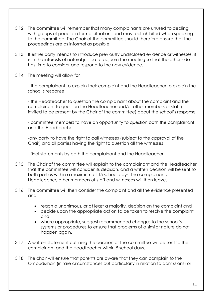- 3.12 The committee will remember that many complainants are unused to dealing with groups of people in formal situations and may feel inhibited when speaking to the committee. The Chair of the committee should therefore ensure that the proceedings are as informal as possible.
- 3.13 If either party intends to introduce previously undisclosed evidence or witnesses, it is in the interests of natural justice to adjourn the meeting so that the other side has time to consider and respond to the new evidence.
- 3.14 The meeting will allow for

- the complainant to explain their complaint and the Headteacher to explain the school's response

- the Headteacher to question the complainant about the complaint and the complainant to question the Headteacher and/or other members of staff (if invited to be present by the Chair of the committee) about the school's response

- committee members to have an opportunity to question both the complainant and the Headteacher

-any party to have the right to call witnesses (subject to the approval of the Chair) and all parties having the right to question all the witnesses

- final statements by both the complainant and the Headteacher.

- 3.15 The Chair of the committee will explain to the complainant and the Headteacher that the committee will consider its decision, and a written decision will be sent to both parties within a maximum of 15 school days. The complainant, Headteacher, other members of staff and witnesses will then leave.
- 3.16 The committee will then consider the complaint and all the evidence presented and
	- reach a unanimous, or at least a majority, decision on the complaint and
	- decide upon the appropriate action to be taken to resolve the complaint and
	- where appropriate, suggest recommended changes to the school's systems or procedures to ensure that problems of a similar nature do not happen again.
- 3.17 A written statement outlining the decision of the committee will be sent to the complainant and the Headteacher within 5 school days.
- 3.18 The chair will ensure that parents are aware that they can complain to the Ombudsman (in rare circumstances but particularly in relation to admissions) or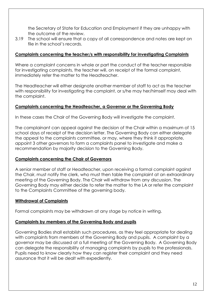the Secretary of State for Education and Employment if they are unhappy with the outcome of the review.

3.19 The school will ensure that a copy of all correspondence and notes are kept on file in the school's records.

#### **Complaints concerning the teacher/s with responsibility for investigating Complaints**

Where a complaint concerns in whole or part the conduct of the teacher responsible for investigating complaints, the teacher will, on receipt of the formal complaint, immediately refer the matter to the Headteacher.

The Headteacher will either designate another member of staff to act as the teacher with responsibility for investigating the complaint, or s/he may her/himself may deal with the complaint.

#### **Complaints concerning the Headteacher, a Governor or the Governing Body**

In these cases the Chair of the Governing Body will investigate the complaint.

The complainant can appeal against the decision of the Chair within a maximum of 15 school days of receipt of the decision letter. The Governing Body can either delegate the appeal to the complaints committee, or may, where they think it appropriate, appoint 3 other governors to form a complaints panel to investigate and make a recommendation by majority decision to the Governing Body.

#### **Complaints concerning the Chair of Governors**

A senior member of staff or Headteacher, upon receiving a formal complaint against the Chair, must notify the clerk, who must then table the complaint at an extraordinary meeting of the Governing Body. The Chair will withdraw from any discussion. The Governing Body may either decide to refer the matter to the LA or refer the complaint to the Complaints Committee of the governing body.

#### **Withdrawal of Complaints**

Formal complaints may be withdrawn at any stage by notice in writing.

#### **Complaints by members of the Governing Body and pupils**

Governing Bodies shall establish such procedures, as they feel appropriate for dealing with complaints from members of the Governing Body and pupils. A complaint by a governor may be discussed at a full meeting of the Governing Body. A Governing Body can delegate the responsibility of managing complaints by pupils to the professionals. Pupils need to know clearly how they can register their complaint and they need assurance that it will be dealt with expediently.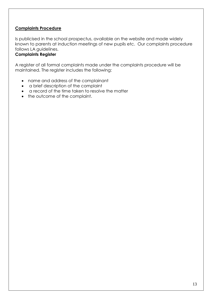#### **Complaints Procedure**

Is publicised in the school prospectus, available on the website and made widely known to parents at induction meetings of new pupils etc. Our complaints procedure follows LA guidelines.

#### **Complaints Register**

A register of all formal complaints made under the complaints procedure will be maintained. The register includes the following:

- name and address of the complainant
- a brief description of the complaint
- a record of the time taken to resolve the matter
- the outcome of the complaint.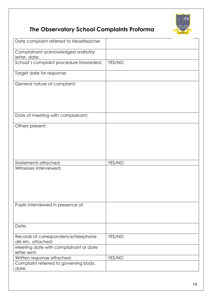

# **The Observatory School Complaints Proforma**

| Date complaint referred to Headteacher                     |        |
|------------------------------------------------------------|--------|
| Complainant acknowledged orally/by<br>letter, date:        |        |
| School's complaint procedure forwarded:                    | YES/NO |
| Target date for response:                                  |        |
| General nature of complaint:                               |        |
|                                                            |        |
|                                                            |        |
| Date of meeting with complainant:                          |        |
| Others present:                                            |        |
|                                                            |        |
|                                                            |        |
|                                                            |        |
| Statements attached:                                       | YES/NO |
| Witnesses interviewed:                                     |        |
|                                                            |        |
|                                                            |        |
|                                                            |        |
| Pupils interviewed in presence of:                         |        |
|                                                            |        |
| Date:                                                      |        |
| Records of correspondence/telephone<br>alls etc. attached: | YES/NO |
| Meeting date with complainant or date<br>letter sent:      |        |
| Written response attached:                                 | YES/NO |
| Complaint referred to governing body,                      |        |
| date:                                                      |        |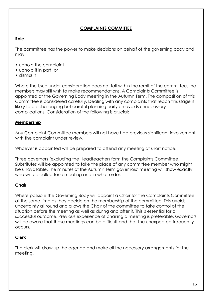#### **COMPLAINTS COMMITTEE**

#### **Role**

The committee has the power to make decisions on behalf of the governing body and may

- uphold the complaint
- uphold it in part, or
- dismiss it

Where the issue under consideration does not fall within the remit of the committee, the members may still wish to make recommendations. A Complaints Committee is appointed at the Governing Body meeting in the Autumn Term. The composition of this Committee is considered carefully. Dealing with any complaints that reach this stage is likely to be challenging but careful planning early on avoids unnecessary complications. Consideration of the following is crucial:

#### **Membership**

Any Complaint Committee members will not have had previous significant involvement with the complaint under review.

Whoever is appointed will be prepared to attend any meeting at short notice.

Three governors (excluding the Headteacher) form the Complaints Committee. Substitutes will be appointed to take the place of any committee member who might be unavailable. The minutes of the Autumn Term governors' meeting will show exactly who will be called for a meeting and in what order.

#### **Chair**

Where possible the Governing Body will appoint a Chair for the Complaints Committee at the same time as they decide on the membership of the committee. This avoids uncertainty all round and allows the Chair of the committee to take control of the situation before the meeting as well as during and after it. This is essential for a successful outcome. Previous experience of chairing a meeting is preferable. Governors will be aware that these meetings can be difficult and that the unexpected frequently occurs.

#### **Clerk**

The clerk will draw up the agenda and make all the necessary arrangements for the meeting.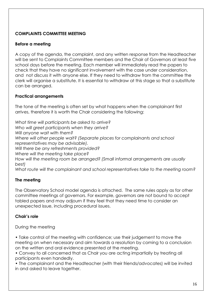#### **COMPLAINTS COMMITTEE MEETING**

#### **Before a meeting**

A copy of the agenda, the complaint, and any written response from the Headteacher will be sent to Complaints Committee members and the Chair of Governors at least five school days before the meeting. Each member will immediately read the papers to check that they have no significant involvement with the case under consideration, and not discuss it with anyone else. If they need to withdraw from the committee the clerk will organise a substitute. It is essential to withdraw at this stage so that a substitute can be arranged.

#### **Practical arrangements**

The tone of the meeting is often set by what happens when the complainant first arrives, therefore it is worth the Chair considering the following:

*What time will participants be asked to arrive? Who will greet participants when they arrive? Will anyone wait with them? Where will other people wait? (Separate places for complainants and school representatives may be advisable). Will there be any refreshments provided? Where will the meeting take place? How will the meeting room be arranged? (Small informal arrangements are usually best) What route will the complainant and school representatives take to the meeting room?*

#### **The meeting**

The Observatory School model agenda is attached. The same rules apply as for other committee meetings of governors. For example, governors are not bound to accept tabled papers and may adjourn if they feel that they need time to consider an unexpected issue, including procedural issues.

#### **Chair's role**

During the meeting

• Take control of the meeting with confidence; use their judgement to move the meeting on when necessary and aim towards a resolution by coming to a conclusion on the written and oral evidence presented at the meeting.

• Convey to all concerned that as Chair you are acting impartially by treating all participants even handedly.

• The complainant and the Headteacher (with their friends/advocates) will be invited in and asked to leave together.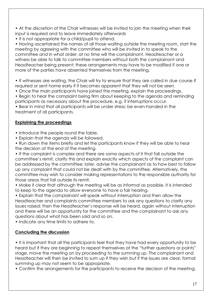• At the discretion of the Chair witnesses will be invited to join the meeting when their input is required and to leave immediately afterwards

• It is not appropriate for a child/pupil to attend.

• Having ascertained the names of all those waiting outside the meeting room, start the meeting by agreeing with the committee who will be invited in to speak to the committee and in what order; at no time will the complainant, Headteacher or a witness be able to talk to committee members without both the complainant and Headteacher being present; these arrangements may have to be modified if one or more of the parties have absented themselves from the meeting.

• If witnesses are waiting, the Chair will try to ensure that they are called in due course if required or sent home early if it becomes apparent that they will not be seen.

• Once the main participants have joined the meeting, explain the proceedings.

• Begin to hear the complaint being firm about keeping to the agenda and reminding participants as necessary about the procedure, e.g. if interruptions occur.

• Bear in mind that all participants will be under stress; be even-handed in the treatment of all participants.

#### **Explaining the proceedings**

• Introduce the people round the table.

• Explain that the agenda will be followed.

• Run down the items briefly and let the participants know if they will be able to hear the decision at the end of the meeting.

• If the complaint is complex and there are some aspects of it that fall outside the committee's remit, clarify this and explain exactly which aspects of the complaint can be addressed by the committee; later, advise the complainant as to how best to follow up any complaint that could not be dealt with by the committee. Alternatively, the committee may wish to consider making representations to the responsible authority for those areas that fall outside its remit.

• Make it clear that although the meeting will be as informal as possible, it is intended to keep to the agenda to allow everyone to have a fair hearing.

• Explain that the complainant will speak without interruption and then allow the Headteacher and complaints committee members to ask any questions to clarify any issues raised; then the Headteacher's response will be heard, again without interruption and there will be an opportunity for the committee and the complainant to ask any questions about what has been said and so on.

• Indicate any time limits to adhere to.

#### **Concluding the discussion**

• It is important that all the participants feel that they have had every opportunity to be heard but if they are beginning to repeat themselves at the "further questions or points" stage, move the meeting on by proceeding to the summing up. The complainant and Headteacher will then be invited to sum up if they wish but if the issues are clear, formal summing up may not seem to be appropriate.

• Confirm the arrangements for the participants to receive the decision of the meeting.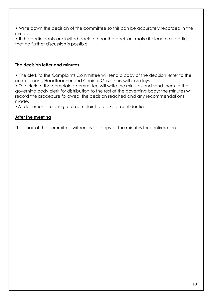• Write down the decision of the committee so this can be accurately recorded in the minutes.

• If the participants are invited back to hear the decision, make it clear to all parties that no further discussion is possible.

#### **The decision letter and minutes**

• The clerk to the Complaints Committee will send a copy of the decision letter to the complainant, Headteacher and Chair of Governors within 5 days.

• The clerk to the complaints committee will write the minutes and send them to the governing body clerk for distribution to the rest of the governing body; the minutes will record the procedure followed, the decision reached and any recommendations made.

•All documents relating to a complaint to be kept confidential.

#### **After the meeting**

The chair of the committee will receive a copy of the minutes for confirmation.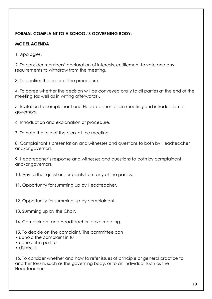#### **FORMAL COMPLAINT TO A SCHOOL'S GOVERNING BODY:**

#### **MODEL AGENDA**

1. Apologies.

2. To consider members' declaration of interests, entitlement to vote and any requirements to withdraw from the meeting.

3. To confirm the order of the procedure.

4. To agree whether the decision will be conveyed orally to all parties at the end of the meeting (as well as in writing afterwards).

5. Invitation to complainant and Headteacher to join meeting and introduction to governors.

6. Introduction and explanation of procedure.

7. To note the role of the clerk at the meeting.

8. Complainant's presentation and witnesses and questions to both by Headteacher and/or governors.

9. Headteacher's response and witnesses and questions to both by complainant and/or governors.

10. Any further questions or points from any of the parties.

- 11. Opportunity for summing up by Headteacher.
- 12. Opportunity for summing up by complainant.
- 13. Summing up by the Chair.
- 14. Complainant and Headteacher leave meeting.
- 15. To decide on the complaint. The committee can
- uphold the complaint in full
- uphold it in part, or
- dismiss it.

16. To consider whether and how to refer issues of principle or general practice to another forum, such as the governing body, or to an individual such as the Headteacher.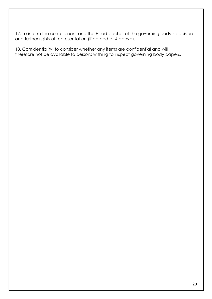17. To inform the complainant and the Headteacher of the governing body's decision and further rights of representation (if agreed at 4 above).

18. Confidentiality: to consider whether any items are confidential and will therefore not be available to persons wishing to inspect governing body papers.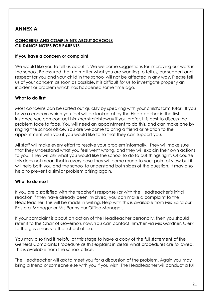### **ANNEX A:**

#### **CONCERNS AND COMPLAINTS ABOUT SCHOOLS GUIDANCE NOTES FOR PARENTS**

#### **If you have a concern or complaint**

We would like you to tell us about it. We welcome suggestions for improving our work in the school. Be assured that no matter what you are wanting to tell us, our support and respect for you and your child in the school will not be affected in any way. Please tell us of your concern as soon as possible. It is difficult for us to investigate properly an incident or problem which has happened some time ago.

#### **What to do first**

Most concerns can be sorted out quickly by speaking with your child's form tutor. If you have a concern which you feel will be looked at by the Headteacher in the first instance you can contact him/her straightaway if you prefer. It is best to discuss the problem face to face. You will need an appointment to do this, and can make one by ringing the school office. You are welcome to bring a friend or relation to the appointment with you if you would like to so that they can support you.

All staff will make every effort to resolve your problem informally. They will make sure that they understand what you feel went wrong, and they will explain their own actions to you. They will ask what you would like the school to do to put things right. Of course, this does not mean that in every case they will come round to your point of view but it will help both you and the school to understand both sides of the question. It may also help to prevent a similar problem arising again.

#### **What to do next**

If you are dissatisfied with the teacher's response (or with the Headteacher's initial reaction if they have already been involved) you can make a complaint to the Headteacher. This will be made in writing. Help with this is available from Mrs Baird our Pastoral Manager or Mrs Penny our Office Manager.

If your complaint is about an action of the Headteacher personally, then you should refer it to the Chair of Governors now. You can contact him/her via Mrs Gardner, Clerk to the governors via the school office.

You may also find it helpful at this stage to have a copy of the full statement of the General Complaints Procedure as this explains in detail what procedures are followed. This is available from the school office.

The Headteacher will ask to meet you for a discussion of the problem. Again you may bring a friend or someone else with you if you wish. The Headteacher will conduct a full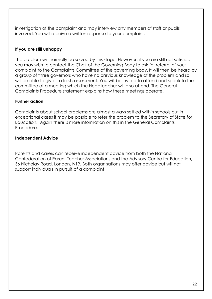investigation of the complaint and may interview any members of staff or pupils involved. You will receive a written response to your complaint.

#### **If you are still unhappy**

The problem will normally be solved by this stage. However, if you are still not satisfied you may wish to contact the Chair of the Governing Body to ask for referral of your complaint to the Complaints Committee of the governing body. It will then be heard by a group of three governors who have no previous knowledge of the problem and so will be able to give it a fresh assessment. You will be invited to attend and speak to the committee at a meeting which the Headteacher will also attend. The General Complaints Procedure statement explains how these meetings operate.

#### **Further action**

Complaints about school problems are almost always settled within schools but in exceptional cases it may be possible to refer the problem to the Secretary of State for Education. Again there is more information on this in the General Complaints Procedure.

#### **Independent Advice**

Parents and carers can receive independent advice from both the National Confederation of Parent Teacher Associations and the Advisory Centre for Education, 36 Nicholay Road, London, N19. Both organisations may offer advice but will not support individuals in pursuit of a complaint.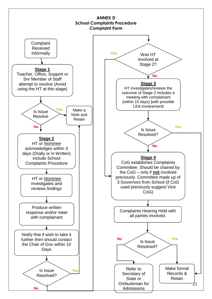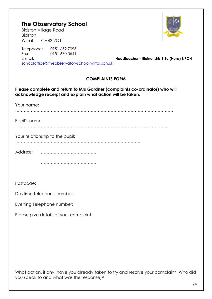## **The Observatory School**

Bidston Village Road Bidston Wirral CH43 7QT

Telephone: 0151 652 7093 Fax: 0151 670 0641 E-mail: **Headteacher – Elaine Idris B.Sc (Hons) NPQH** [schooloffice@theobservatoryschool.wirral.sch.uk](mailto:schooloffice@theobservatoryschool.wirral.sch.uk)

#### **COMPLAINTS FORM**

**Please complete and return to Mrs Gardner (complaints co-ordinator) who will acknowledge receipt and explain what action will be taken.**

Your name: ………………………………………………………………………………………………… Pupil's name: ……………………………………………………………………………………………... Your relationship to the pupil: ……………………………………………………………………………. Address: ………………………………… ………………………………………… Postcode:

Daytime telephone number:

Evening Telephone number:

Please give details of your complaint:

What action, if any, have you already taken to try and resolve your complaint (Who did you speak to and what was the response)?